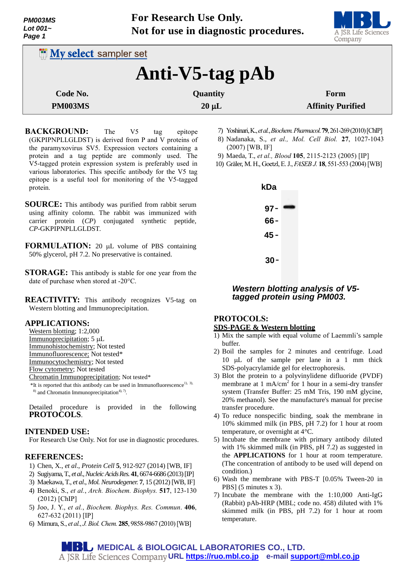

| <b>INV select sampler set</b> |     |          |     |            |  |                                                                         |
|-------------------------------|-----|----------|-----|------------|--|-------------------------------------------------------------------------|
| Anti-V5-tag pAb               |     |          |     |            |  |                                                                         |
| Code No.                      |     | Quantity |     |            |  | Form                                                                    |
| <b>PM003MS</b>                |     |          |     | $20 \mu L$ |  | <b>Affinity Purified</b>                                                |
| <b>BACKGROUND:</b>            | The | V5       | tag | epitope    |  | 7) Yoshinari, K., et al., Biochem. Pharmacol. 79, 261-269 (2010) [ChIP] |

- (GKPIPNPLLGLDST) is derived from P and V proteins of the paramyxovirus SV5. Expression vectors containing a protein and a tag peptide are commonly used. The V5-tagged protein expression system is preferably used in various laboratories. This specific antibody for the V5 tag epitope is a useful tool for monitoring of the V5-tagged protein.
- **SOURCE:** This antibody was purified from rabbit serum using affinity colomn. The rabbit was immunized with carrier protein (*CP*) conjugated synthetic peptide, *CP*-GKPIPNPLLGLDST.
- **FORMULATION:** 20 µL volume of PBS containing 50% glycerol, pH 7.2. No preservative is contained.
- **STORAGE:** This antibody is stable for one year from the date of purchase when stored at -20°C.
- **REACTIVITY:** This antibody recognizes V5-tag on Western blotting and Immunoprecipitation.

### **APPLICATIONS:**

- Western blotting; 1:2,000
- Immunoprecipitation;  $5 \mu L$
- Immunohistochemistry; Not tested
- Immunofluorescence; Not tested\*
- Immunocytochemistry; Not tested
- Flow cytometry; Not tested
- Chromatin Immunoprecipitation; Not tested\*
- $*$ It is reported that this antibody can be used in Immunofluorescence<sup>1), 3),</sup>

 $^{8)}$  and Chromatin Immunoprecipitation<sup>4), 7</sup>.

Detailed procedure is provided in the following **PROTOCOLS**.

### **INTENDED USE:**

For Research Use Only. Not for use in diagnostic procedures.

### **REFERENCES:**

- 1) Chen, X., *et al*., *Protein Cell* **5**, 912-927 (2014) [WB, IF]
- 2) Sugiyama, T., *et al*., *Nucleic Acids Res.* **41**, 6674-6686 (2013) [IP]
- 3) Maekawa, T., *et al*., *Mol. Neurodegener.* **7**, 15 (2012) [WB, IF]
- 4) Benoki, S., *et al.*, *Arch. Biochem. Biophys.* **517**, 123-130 (2012) [ChIP]
- 5) Joo, J. Y., *et al.*, *Biochem. Biophys. Res. Commun*. **406**, 627-632 (2011) [IP]
- 6) Mimura, S., *et al.*, *J.Biol.Chem.* **285**, 9858-9867 (2010)[WB]
- 7) Yoshinari,K.,*et al.*,*Biochem.Pharmacol*. **79**, 261-269 (2010)[ChIP]
- 8) Nadanaka, S., *et al., Mol. Cell Biol.* **27**, 1027-1043 (2007) [WB, IF]
- 9) Maeda, T., *et al., Blood* **105**, 2115-2123 (2005) [IP]
- 10) Gräler, M. H., [Goetzl,E. J.,](http://www.ncbi.nlm.nih.gov/pubmed/?term=Goetzl%20EJ%5BAuthor%5D&cauthor=true&cauthor_uid=14715694) *FASEB J.* **18**, 551-553 (2004)[WB]



### *Western blotting analysis of V5 tagged protein using PM003.*

### **PROTOCOLS:**

#### **SDS-PAGE & Western blotting**

- 1) Mix the sample with equal volume of Laemmli's sample buffer.
- 2) Boil the samples for 2 minutes and centrifuge. Load 10  $\mu$ L of the sample per lane in a 1 mm thick SDS-polyacrylamide gel for electrophoresis.
- 3) Blot the protein to a polyvinylidene difluoride (PVDF) membrane at 1 mA/ $\text{cm}^2$  for 1 hour in a semi-dry transfer system (Transfer Buffer: 25 mM Tris, 190 mM glycine, 20% methanol). See the manufacture's manual for precise transfer procedure.
- 4) To reduce nonspecific binding, soak the membrane in 10% skimmed milk (in PBS, pH 7.2) for 1 hour at room temperature, or overnight at 4°C.
- 5) Incubate the membrane with primary antibody diluted with 1% skimmed milk (in PBS, pH 7.2) as suggested in the **APPLICATIONS** for 1 hour at room temperature. (The concentration of antibody to be used will depend on condition.)
- 6) Wash the membrane with PBS-T [0.05% Tween-20 in PBS] (5 minutes x 3).
- 7) Incubate the membrane with the 1:10,000 Anti-IgG (Rabbit) pAb-HRP (MBL; code no. 458) diluted with 1% skimmed milk (in PBS, pH 7.2) for 1 hour at room temperature.